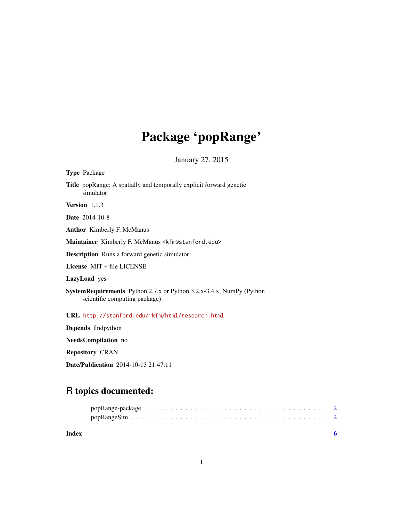## Package 'popRange'

January 27, 2015

| <b>Type Package</b>                                                                                          |
|--------------------------------------------------------------------------------------------------------------|
| Title popRange: A spatially and temporally explicit forward genetic<br>simulator                             |
| Version 1.1.3                                                                                                |
| <b>Date</b> 2014-10-8                                                                                        |
| <b>Author</b> Kimberly F. McManus                                                                            |
| Maintainer Kimberly F. McManus <kfm@stanford.edu></kfm@stanford.edu>                                         |
| <b>Description</b> Runs a forward genetic simulator                                                          |
| License $MIT + file LICENSE$                                                                                 |
| <b>LazyLoad</b> yes                                                                                          |
| <b>SystemRequirements</b> Python 2.7.x or Python 3.2.x-3.4.x, NumPy (Python<br>scientific computing package) |
| URL http://stanford.edu/~kfm/html/research.html                                                              |
| <b>Depends</b> findpython                                                                                    |
| <b>NeedsCompilation</b> no                                                                                   |

Repository CRAN

Date/Publication 2014-10-13 21:47:11

### R topics documented:

| Index |  |
|-------|--|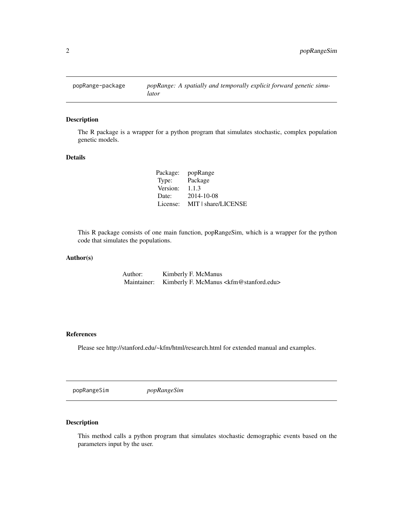<span id="page-1-0"></span>

#### Description

The R package is a wrapper for a python program that simulates stochastic, complex population genetic models.

#### Details

| Package: | popRange            |
|----------|---------------------|
| Type:    | Package             |
| Version: | 1.1.3               |
| Date:    | 2014-10-08          |
| License: | MIT   share/LICENSE |

This R package consists of one main function, popRangeSim, which is a wrapper for the python code that simulates the populations.

#### Author(s)

Author: Kimberly F. McManus Maintainer: Kimberly F. McManus <kfm@stanford.edu>

#### References

Please see http://stanford.edu/~kfm/html/research.html for extended manual and examples.

popRangeSim *popRangeSim*

#### Description

This method calls a python program that simulates stochastic demographic events based on the parameters input by the user.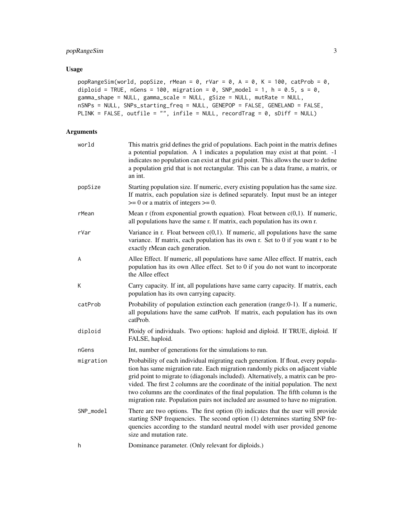#### popRangeSim 3

#### Usage

```
popRangeSim(world, popSize, rMean = 0, rVar = 0, A = 0, K = 100, catProb = 0,
diploid = TRUE, nGens = 100, migration = 0, SNP_model = 1, h = 0.5, s = 0,
gamma_shape = NULL, gamma_scale = NULL, gSize = NULL, mutRate = NULL,
nSNPs = NULL, SNPs_starting_freq = NULL, GENEPOP = FALSE, GENELAND = FALSE,
PLINK = FALSE, outfile = "", infile = NULL, recordTrag = 0, sDiff = NULL)
```
#### Arguments

| world     | This matrix grid defines the grid of populations. Each point in the matrix defines<br>a potential population. A 1 indicates a population may exist at that point. -1<br>indicates no population can exist at that grid point. This allows the user to define<br>a population grid that is not rectangular. This can be a data frame, a matrix, or<br>an int.                                                                                                                                                          |
|-----------|-----------------------------------------------------------------------------------------------------------------------------------------------------------------------------------------------------------------------------------------------------------------------------------------------------------------------------------------------------------------------------------------------------------------------------------------------------------------------------------------------------------------------|
| popSize   | Starting population size. If numeric, every existing population has the same size.<br>If matrix, each population size is defined separately. Input must be an integer<br>$\geq 0$ or a matrix of integers $\geq 0$ .                                                                                                                                                                                                                                                                                                  |
| rMean     | Mean r (from exponential growth equation). Float between $c(0,1)$ . If numeric,<br>all populations have the same r. If matrix, each population has its own r.                                                                                                                                                                                                                                                                                                                                                         |
| rVar      | Variance in r. Float between $c(0,1)$ . If numeric, all populations have the same<br>variance. If matrix, each population has its own r. Set to 0 if you want r to be<br>exactly rMean each generation.                                                                                                                                                                                                                                                                                                               |
| A         | Allee Effect. If numeric, all populations have same Allee effect. If matrix, each<br>population has its own Allee effect. Set to 0 if you do not want to incorporate<br>the Allee effect                                                                                                                                                                                                                                                                                                                              |
| К         | Carry capacity. If int, all populations have same carry capacity. If matrix, each<br>population has its own carrying capacity.                                                                                                                                                                                                                                                                                                                                                                                        |
| catProb   | Probability of population extinction each generation (range:0-1). If a numeric,<br>all populations have the same catProb. If matrix, each population has its own<br>catProb.                                                                                                                                                                                                                                                                                                                                          |
| diploid   | Ploidy of individuals. Two options: haploid and diploid. If TRUE, diploid. If<br>FALSE, haploid.                                                                                                                                                                                                                                                                                                                                                                                                                      |
| nGens     | Int, number of generations for the simulations to run.                                                                                                                                                                                                                                                                                                                                                                                                                                                                |
| migration | Probability of each individual migrating each generation. If float, every popula-<br>tion has same migration rate. Each migration randomly picks on adjacent viable<br>grid point to migrate to (diagonals included). Alternatively, a matrix can be pro-<br>vided. The first 2 columns are the coordinate of the initial population. The next<br>two columns are the coordinates of the final population. The fifth column is the<br>migration rate. Population pairs not included are assumed to have no migration. |
| SNP_model | There are two options. The first option $(0)$ indicates that the user will provide<br>starting SNP frequencies. The second option (1) determines starting SNP fre-<br>quencies according to the standard neutral model with user provided genome<br>size and mutation rate.                                                                                                                                                                                                                                           |
| h         | Dominance parameter. (Only relevant for diploids.)                                                                                                                                                                                                                                                                                                                                                                                                                                                                    |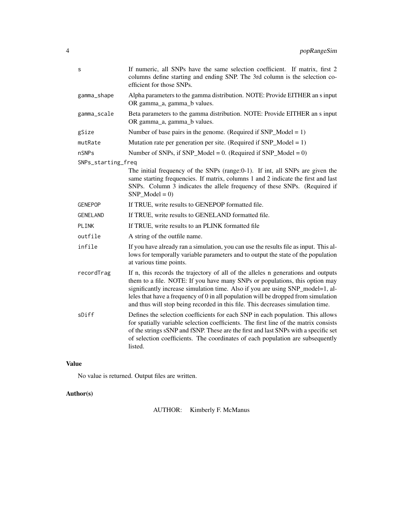| S                  | If numeric, all SNPs have the same selection coefficient. If matrix, first 2<br>columns define starting and ending SNP. The 3rd column is the selection co-<br>efficient for those SNPs.                                                                                                                                                                                                                                    |
|--------------------|-----------------------------------------------------------------------------------------------------------------------------------------------------------------------------------------------------------------------------------------------------------------------------------------------------------------------------------------------------------------------------------------------------------------------------|
| gamma_shape        | Alpha parameters to the gamma distribution. NOTE: Provide EITHER an s input<br>OR gamma_a, gamma_b values.                                                                                                                                                                                                                                                                                                                  |
| gamma_scale        | Beta parameters to the gamma distribution. NOTE: Provide EITHER an s input<br>OR gamma_a, gamma_b values.                                                                                                                                                                                                                                                                                                                   |
| gSize              | Number of base pairs in the genome. (Required if $SNP_{\text{model}} = 1$ )                                                                                                                                                                                                                                                                                                                                                 |
| mutRate            | Mutation rate per generation per site. (Required if $SNP_{Model} = 1$ )                                                                                                                                                                                                                                                                                                                                                     |
| nSNPs              | Number of SNPs, if SNP_Model = 0. (Required if SNP_Model = 0)                                                                                                                                                                                                                                                                                                                                                               |
| SNPs_starting_freq |                                                                                                                                                                                                                                                                                                                                                                                                                             |
|                    | The initial frequency of the SNPs (range:0-1). If int, all SNPs are given the<br>same starting frequencies. If matrix, columns 1 and 2 indicate the first and last<br>SNPs. Column 3 indicates the allele frequency of these SNPs. (Required if<br>SNP Model = $0$ )                                                                                                                                                        |
| <b>GENEPOP</b>     | If TRUE, write results to GENEPOP formatted file.                                                                                                                                                                                                                                                                                                                                                                           |
| GENELAND           | If TRUE, write results to GENELAND formatted file.                                                                                                                                                                                                                                                                                                                                                                          |
| PLINK              | If TRUE, write results to an PLINK formatted file                                                                                                                                                                                                                                                                                                                                                                           |
| outfile            | A string of the outfile name.                                                                                                                                                                                                                                                                                                                                                                                               |
| infile             | If you have already ran a simulation, you can use the results file as input. This al-<br>lows for temporally variable parameters and to output the state of the population<br>at various time points.                                                                                                                                                                                                                       |
| recordTrag         | If n, this records the trajectory of all of the alleles n generations and outputs<br>them to a file. NOTE: If you have many SNPs or populations, this option may<br>significantly increase simulation time. Also if you are using SNP_model=1, al-<br>leles that have a frequency of 0 in all population will be dropped from simulation<br>and thus will stop being recorded in this file. This decreases simulation time. |
| sDiff              | Defines the selection coefficients for each SNP in each population. This allows<br>for spatially variable selection coefficients. The first line of the matrix consists<br>of the strings sSNP and fSNP. These are the first and last SNPs with a specific set<br>of selection coefficients. The coordinates of each population are subsequently<br>listed.                                                                 |

#### Value

No value is returned. Output files are written.

### Author(s)

AUTHOR: Kimberly F. McManus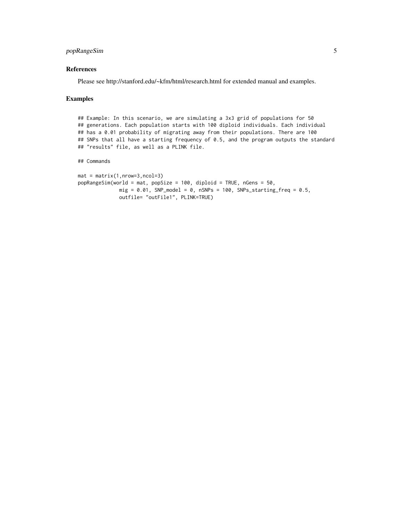#### popRangeSim 5

#### References

Please see http://stanford.edu/~kfm/html/research.html for extended manual and examples.

#### Examples

## Example: In this scenario, we are simulating a 3x3 grid of populations for 50 ## generations. Each population starts with 100 diploid individuals. Each individual ## has a 0.01 probability of migrating away from their populations. There are 100 ## SNPs that all have a starting frequency of 0.5, and the program outputs the standard ## "results" file, as well as a PLINK file.

#### ## Commands

```
mat = matrix(1, nrow=3, ncol=3)popRangeSim(world = mat, popSize = 100, diploid = TRUE, nGens = 50,
             mig = 0.01, SNP_model = 0, nSNPs = 100, SNPs_starting_freq = 0.5,
             outfile= "outFile1", PLINK=TRUE)
```